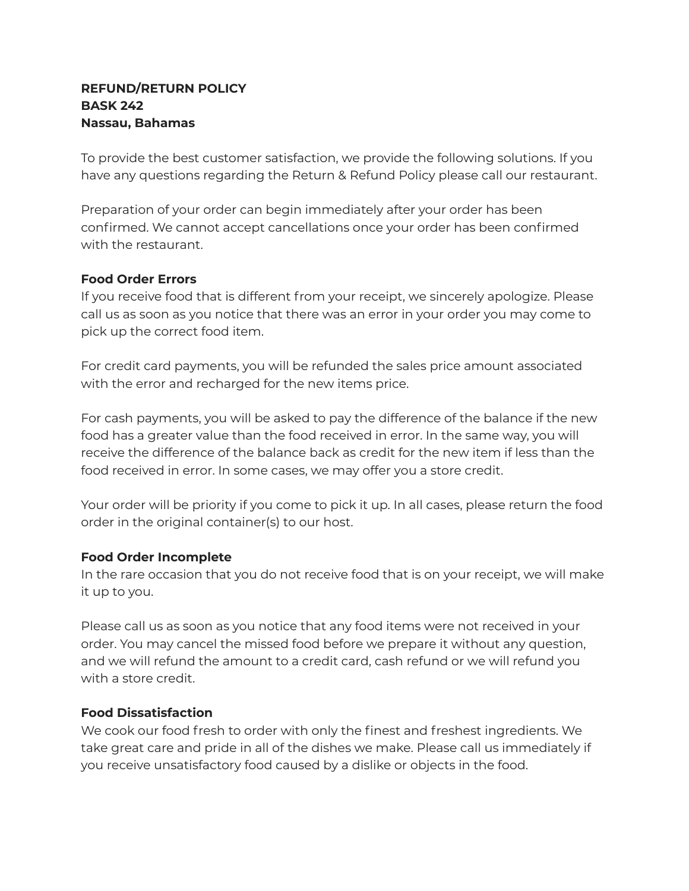## **REFUND/RETURN POLICY BASK 242 Nassau, Bahamas**

To provide the best customer satisfaction, we provide the following solutions. If you have any questions regarding the Return & Refund Policy please call our restaurant.

Preparation of your order can begin immediately after your order has been confirmed. We cannot accept cancellations once your order has been confirmed with the restaurant.

## **Food Order Errors**

If you receive food that is different from your receipt, we sincerely apologize. Please call us as soon as you notice that there was an error in your order you may come to pick up the correct food item.

For credit card payments, you will be refunded the sales price amount associated with the error and recharged for the new items price.

For cash payments, you will be asked to pay the difference of the balance if the new food has a greater value than the food received in error. In the same way, you will receive the difference of the balance back as credit for the new item if less than the food received in error. In some cases, we may offer you a store credit.

Your order will be priority if you come to pick it up. In all cases, please return the food order in the original container(s) to our host.

## **Food Order Incomplete**

In the rare occasion that you do not receive food that is on your receipt, we will make it up to you.

Please call us as soon as you notice that any food items were not received in your order. You may cancel the missed food before we prepare it without any question, and we will refund the amount to a credit card, cash refund or we will refund you with a store credit.

## **Food Dissatisfaction**

We cook our food fresh to order with only the finest and freshest ingredients. We take great care and pride in all of the dishes we make. Please call us immediately if you receive unsatisfactory food caused by a dislike or objects in the food.